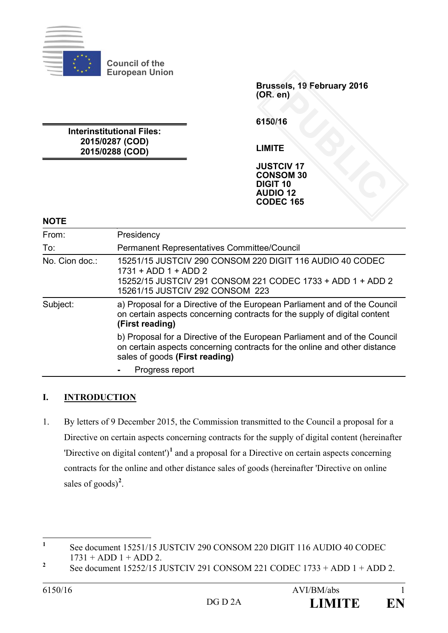

**Council of the European Union**

**Interinstitutional Files: 2015/0287 (COD) 2015/0288 (COD)**

**Brussels, 19 February 2016 (OR. en)**

**6150/16**

**LIMITE**

**JUSTCIV 17 CONSOM 30 DIGIT 10 AUDIO 12 CODEC 165** PUBLIC<br> **PUBLIC**<br> **PUBLIC CONT**<br> **PUBLIC CONT**<br> **PUBLIC CONT**<br> **PUBLIC CONT** 

## **NOTE**

| From:          |                                                                                                                                                                                          |
|----------------|------------------------------------------------------------------------------------------------------------------------------------------------------------------------------------------|
|                | Presidency                                                                                                                                                                               |
| To:            | Permanent Representatives Committee/Council                                                                                                                                              |
| No. Cion doc.: | 15251/15 JUSTCIV 290 CONSOM 220 DIGIT 116 AUDIO 40 CODEC<br>$1731 + ADD 1 + ADD 2$                                                                                                       |
|                | 15252/15 JUSTCIV 291 CONSOM 221 CODEC 1733 + ADD 1 + ADD 2<br>15261/15 JUSTCIV 292 CONSOM 223                                                                                            |
| Subject:       | a) Proposal for a Directive of the European Parliament and of the Council<br>on certain aspects concerning contracts for the supply of digital content<br>(First reading)                |
|                | b) Proposal for a Directive of the European Parliament and of the Council<br>on certain aspects concerning contracts for the online and other distance<br>sales of goods (First reading) |
|                | Progress report                                                                                                                                                                          |

## **I. INTRODUCTION**

1. By letters of 9 December 2015, the Commission transmitted to the Council a proposal for a Directive on certain aspects concerning contracts for the supply of digital content (hereinafter 'Directive on digital content')**[1](#page-0-0)** and a proposal for a Directive on certain aspects concerning contracts for the online and other distance sales of goods (hereinafter 'Directive on online sales of goods)<sup>[2](#page-0-1)</sup>.

<span id="page-0-0"></span><sup>&</sup>lt;sup>1</sup> See document 15251/15 JUSTCIV 290 CONSOM 220 DIGIT 116 AUDIO 40 CODEC  $1731 + ADD 1 + ADD 2$ .

<span id="page-0-1"></span><sup>&</sup>lt;sup>2</sup> See document  $15252/15$  JUSTCIV 291 CONSOM 221 CODEC  $1733 + ADD 1 + ADD 2$ .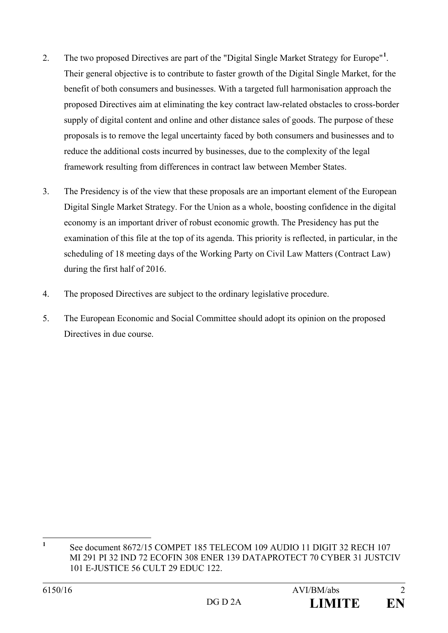- 2. The two proposed Directives are part of the "Digital Single Market Strategy for Europe"<sup>[1](#page-1-0)</sup>. Their general objective is to contribute to faster growth of the Digital Single Market, for the benefit of both consumers and businesses. With a targeted full harmonisation approach the proposed Directives aim at eliminating the key contract law-related obstacles to cross-border supply of digital content and online and other distance sales of goods. The purpose of these proposals is to remove the legal uncertainty faced by both consumers and businesses and to reduce the additional costs incurred by businesses, due to the complexity of the legal framework resulting from differences in contract law between Member States.
- 3. The Presidency is of the view that these proposals are an important element of the European Digital Single Market Strategy. For the Union as a whole, boosting confidence in the digital economy is an important driver of robust economic growth. The Presidency has put the examination of this file at the top of its agenda. This priority is reflected, in particular, in the scheduling of 18 meeting days of the Working Party on Civil Law Matters (Contract Law) during the first half of 2016.
- 4. The proposed Directives are subject to the ordinary legislative procedure.
- 5. The European Economic and Social Committee should adopt its opinion on the proposed Directives in due course.

<span id="page-1-0"></span><sup>&</sup>lt;sup>1</sup> See document 8672/15 COMPET 185 TELECOM 109 AUDIO 11 DIGIT 32 RECH 107 MI 291 PI 32 IND 72 ECOFIN 308 ENER 139 DATAPROTECT 70 CYBER 31 JUSTCIV 101 E-JUSTICE 56 CULT 29 EDUC 122.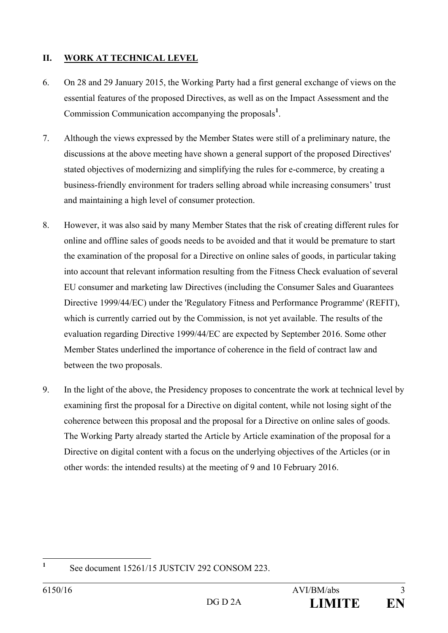## **II. WORK AT TECHNICAL LEVEL**

- 6. On 28 and 29 January 2015, the Working Party had a first general exchange of views on the essential features of the proposed Directives, as well as on the Impact Assessment and the Commission Communication accompanying the proposals**[1](#page-2-0)** .
- 7. Although the views expressed by the Member States were still of a preliminary nature, the discussions at the above meeting have shown a general support of the proposed Directives' stated objectives of modernizing and simplifying the rules for e-commerce, by creating a business-friendly environment for traders selling abroad while increasing consumers' trust and maintaining a high level of consumer protection.
- 8. However, it was also said by many Member States that the risk of creating different rules for online and offline sales of goods needs to be avoided and that it would be premature to start the examination of the proposal for a Directive on online sales of goods, in particular taking into account that relevant information resulting from the Fitness Check evaluation of several EU consumer and marketing law Directives (including the Consumer Sales and Guarantees Directive 1999/44/EC) under the 'Regulatory Fitness and Performance Programme' (REFIT), which is currently carried out by the Commission, is not yet available. The results of the evaluation regarding Directive 1999/44/EC are expected by September 2016. Some other Member States underlined the importance of coherence in the field of contract law and between the two proposals.
- 9. In the light of the above, the Presidency proposes to concentrate the work at technical level by examining first the proposal for a Directive on digital content, while not losing sight of the coherence between this proposal and the proposal for a Directive on online sales of goods. The Working Party already started the Article by Article examination of the proposal for a Directive on digital content with a focus on the underlying objectives of the Articles (or in other words: the intended results) at the meeting of 9 and 10 February 2016.

<span id="page-2-0"></span>

**<sup>1</sup>** See document 15261/15 JUSTCIV 292 CONSOM 223.